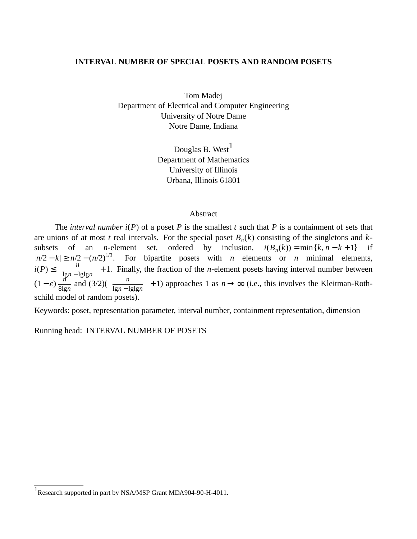### **INTERVAL NUMBER OF SPECIAL POSETS AND RANDOM POSETS**

Tom Madej Department of Electrical and Computer Engineering University of Notre Dame Notre Dame, Indiana

> Douglas B. West $<sup>1</sup>$ </sup> Department of Mathematics University of Illinois Urbana, Illinois 61801

## Abstract

The *interval number*  $i(P)$  of a poset *P* is the smallest *t* such that *P* is a containment of sets that are unions of at most *t* real intervals. For the special poset *B<sup>n</sup>* (*k*) consisting of the singletons and *k*subsets of an *n*-element set, ordered by inclusion,  $i(B_n(k)) = \min\{k, n - k + 1\}$  if  $|n/2 - k|$  ≥  $n/2 - (n/2)^{1/3}$ . For bipartite posets with *n* elements or *n* minimal elements, *i*(*P*) ≤  $\int_0^{\infty}$   $\frac{n}{\ln n}$ <u>lgn</u> − lglgn<sup></sup> + 1. Finally, the fraction of the *n*-element posets having interval number between  $(1-\varepsilon)\frac{\hbar}{2}$  $rac{n}{\sqrt{8}}$  and  $(3/2)$   $\left(\frac{n}{\lg n - 1}\right)$  $\frac{n}{\lg n - \lg \lg n}$  + 1) approaches 1 as  $n \to \infty$  (i.e., this involves the Kleitman-Rothschild model of random posets).

Keywords: poset, representation parameter, interval number, containment representation, dimension

Running head: INTERVAL NUMBER OF POSETS

<sup>&</sup>lt;sup>1</sup>Research supported in part by NSA/MSP Grant MDA904-90-H-4011.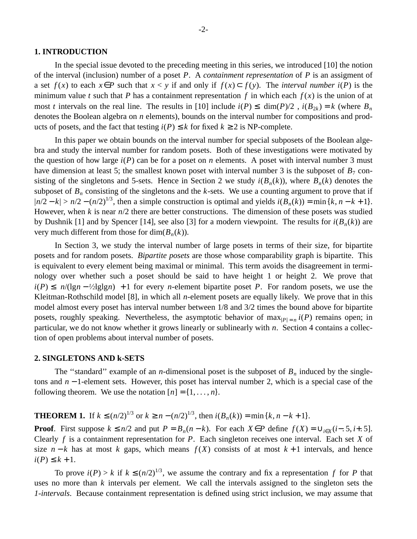### **1. INTRODUCTION**

In the special issue devoted to the preceding meeting in this series, we introduced [10] the notion of the interval (inclusion) number of a poset *P*. A *containment representation* of *P* is an assigment of a set *f*(*x*) to each *x*∈*P* such that *x* < *y* if and only if *f*(*x*)⊂ *f*(*y*). The *interval number i*(*P*) is the minimum value *t* such that *P* has a containment representation *f* in which each  $f(x)$  is the union of at most *t* intervals on the real line. The results in [10] include  $i(P) \leq |\dim(P)/2|$ ,  $i(B_{2k}) = k$  (where  $B_n$ denotes the Boolean algebra on *n* elements), bounds on the interval number for compositions and products of posets, and the fact that testing  $i(P) \le k$  for fixed  $k \ge 2$  is NP-complete.

In this paper we obtain bounds on the interval number for special subposets of the Boolean algebra and study the interval number for random posets. Both of these investigations were motivated by the question of how large  $i(P)$  can be for a poset on *n* elements. A poset with interval number 3 must have dimension at least 5; the smallest known poset with interval number 3 is the subposet of  $B_7$  consisting of the singletons and 5-sets. Hence in Section 2 we study  $i(B_n(k))$ , where  $B_n(k)$  denotes the subposet of  $B<sub>n</sub>$  consisting of the singletons and the *k*-sets. We use a counting argument to prove that if  $|n/2 - k| > n/2 - (n/2)^{1/3}$ , then a simple construction is optimal and yields  $i(B_n(k)) = \min\{k, n - k + 1\}$ . However, when  $k$  is near  $n/2$  there are better constructions. The dimension of these posets was studied by Dushnik [1] and by Spencer [14], see also [3] for a modern viewpoint. The results for  $i(B_n(k))$  are very much different from those for  $\dim(B_n(k))$ .

In Section 3, we study the interval number of large posets in terms of their size, for bipartite posets and for random posets. *Bipartite posets* are those whose comparability graph is bipartite. This is equivalent to every element being maximal or minimal. This term avoids the disagreement in terminology over whether such a poset should be said to have height 1 or height 2. We prove that  $i(P) \leq |n/(1g(n - 1/2) \cdot g(n))| + 1$  for every *n*-element bipartite poset *P*. For random posets, we use the Kleitman-Rothschild model [8], in which all *n*-element posets are equally likely. We prove that in this model almost every poset has interval number between 1/8 and 3/2 times the bound above for bipartite posets, roughly speaking. Nevertheless, the asymptotic behavior of  $\max_{|P|=n} i(P)$  remains open; in particular, we do not know whether it grows linearly or sublinearly with *n*. Section 4 contains a collection of open problems about interval number of posets.

### **2. SINGLETONS AND k-SETS**

The "standard" example of an *n*-dimensional poset is the subposet of  $B<sub>n</sub>$  induced by the singletons and *n* − 1-element sets. However, this poset has interval number 2, which is a special case of the following theorem. We use the notation  $[n] = \{1, \ldots, n\}.$ 

**THEOREM 1.** If *k* ≤  $(n/2)^{1/3}$  or *k* ≥ *n* −  $(n/2)^{1/3}$ , then  $i(B_n(k)) = \min\{k, n - k + 1\}$ .

**Proof**. First suppose  $k \leq n/2$  and put  $P = B_n(n-k)$ . For each  $X \in P$  define  $f(X) = \bigcup_{i \in X} (i-5, i+5]$ . Clearly *f* is a containment representation for *P*. Each singleton receives one interval. Each set *X* of size  $n - k$  has at most *k* gaps, which means  $f(X)$  consists of at most  $k + 1$  intervals, and hence *i*(*P*) ≤ *k* + 1.

To prove  $i(P) > k$  if  $k \leq (n/2)^{1/3}$ , we assume the contrary and fix a representation *f* for *P* that uses no more than *k* intervals per element. We call the intervals assigned to the singleton sets the *1-intervals*. Because containment representation is defined using strict inclusion, we may assume that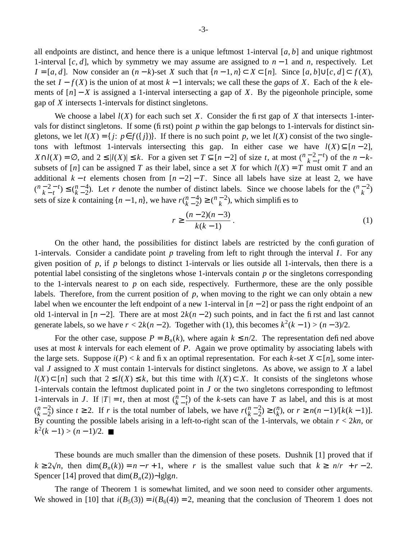all endpoints are distinct, and hence there is a unique leftmost 1-interval  $[a, b]$  and unique rightmost 1-interval [*c*, *d*], which by symmetry we may assume are assigned to *n* − 1 and *n*, respectively. Let *I* = [*a*, *d*]. Now consider an  $(n-k)$ -set *X* such that  $\{n-1, n\} \subset X \subset [n]$ . Since [*a*, *b*]∪[*c*, *d*] ⊂ *f*(*X*), the set  $I - f(X)$  is the union of at most  $k - 1$  intervals; we call these the *gaps* of X. Each of the  $k$  elements of  $[n] - X$  is assigned a 1-interval intersecting a gap of *X*. By the pigeonhole principle, some gap of *X* intersects 1-intervals for distinct singletons.

We choose a label  $l(X)$  for each such set X. Consider the first gap of X that intersects 1-intervals for distinct singletons. If some (first) point *p* within the gap belongs to 1-intervals for distinct singletons, we let  $l(X) = \{ j : p \in f({j}) \}$ . If there is no such point p, we let  $l(X)$  consist of the two singletons with leftmost 1-intervals intersecting this gap. In either case we have  $l(X) \subseteq [n-2]$ , *X*∩*l*(*X*) = ∅, and  $2 \le |l(X)| \le k$ . For a given set  $T \subseteq [n-2]$  of size *t*, at most  $\binom{n-2-t}{k-t}$  of the  $n-k$ subsets of  $[n]$  can be assigned *T* as their label, since a set *X* for which  $l(X) = T$  must omit *T* and an additional  $k - t$  elements chosen from  $[n - 2] - T$ . Since all labels have size at least 2, we have  $\binom{n-2-t}{k-t}$  $\binom{n-2-t}{k-t} \leq \binom{n-4}{k-2}$  $h^{n-4}_{k-2}$ ). Let *r* denote the number of distinct labels. Since we choose labels for the  $\binom{n-2}{k}$ sets of size *k* containing  $\{n-1, n\}$ , we have  $r\binom{n-4}{k-2}$  $\binom{n-4}{k-2} \geq \binom{n-2}{k}$  $\binom{1}{k}$ , which simplifies to

$$
r \ge \frac{(n-2)(n-3)}{k(k-1)}\,. \tag{1}
$$

On the other hand, the possibilities for distinct labels are restricted by the configuration of 1-intervals. Consider a candidate point *p* traveling from left to right through the interval *I*. For any given position of *p*, if *p* belongs to distinct 1-intervals or lies outside all 1-intervals, then there is a potential label consisting of the singletons whose 1-intervals contain *p* or the singletons corresponding to the 1-intervals nearest to  $p$  on each side, respectively. Furthermore, these are the only possible labels. Therefore, from the current position of *p*, when moving to the right we can only obtain a new label when we encounter the left endpoint of a new 1-interval in  $[n-2]$  or pass the right endpoint of an old 1-interval in  $[n-2]$ . There are at most  $2k(n-2)$  such points, and in fact the first and last cannot generate labels, so we have  $r < 2k(n-2)$ . Together with (1), this becomes  $k^2(k-1) > (n-3)/2$ .

For the other case, suppose  $P = B_n(k)$ , where again  $k \leq n/2$ . The representation defined above uses at most *k* intervals for each element of *P*. Again we prove optimality by associating labels with the large sets. Suppose  $i(P) < k$  and fix an optimal representation. For each  $k$ -set  $X \subset [n]$ , some interval *J* assigned to *X* must contain 1-intervals for distinct singletons. As above, we assign to *X* a label *l*(*X*) ⊂ [*n*] such that  $2 \le l(X) \le k$ , but this time with  $l(X) \subset X$ . It consists of the singletons whose 1-intervals contain the leftmost duplicated point in *J* or the two singletons corresponding to leftmost 1-intervals in *J*. If  $|T| = t$ , then at most  $\binom{n-t}{k-t}$  of the *k*-sets can have *T* as label, and this is at most  $\binom{n-2}{k-2}$  $h = \binom{n-2}{k-2}$  since  $t \ge 2$ . If *r* is the total number of labels, we have  $r(\binom{n-2}{k-2})$  $\binom{n-2}{k-2} \geq \binom{n}{k}$ *h*<sub>*k*</sub>
), or *r* ≥ *n*(*n* − 1)/[*k*(*k* − 1)]. By counting the possible labels arising in a left-to-right scan of the 1-intervals, we obtain  $r < 2kn$ , or  $k^2(k-1) > (n-1)/2$ . ■

These bounds are much smaller than the dimension of these posets. Dushnik [1] proved that if  $k \ge 2\sqrt{n}$ , then dim $(B_n(k)) = n - r + 1$ , where *r* is the smallest value such that  $k \ge \lfloor n/r \rfloor + r - 2$ . Spencer [14] proved that dim(*B<sup>n</sup>* (2))∼lglg*n*.

The range of Theorem 1 is somewhat limited, and we soon need to consider other arguments. We showed in [10] that  $i(B_5(3)) = i(B_6(4)) = 2$ , meaning that the conclusion of Theorem 1 does not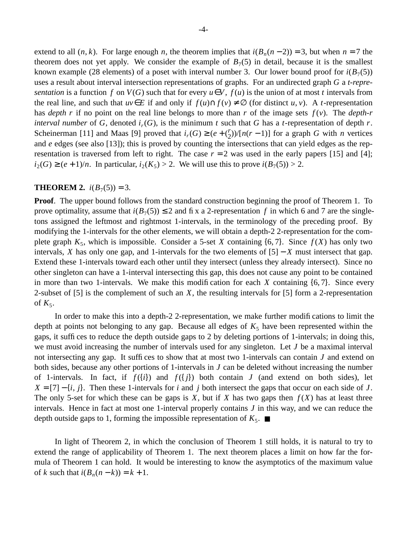extend to all  $(n, k)$ . For large enough *n*, the theorem implies that  $i(B_n(n-2)) = 3$ , but when  $n = 7$  the theorem does not yet apply. We consider the example of  $B<sub>7</sub>(5)$  in detail, because it is the smallest known example (28 elements) of a poset with interval number 3. Our lower bound proof for  $i(B_7(5))$ uses a result about interval intersection representations of graphs. For an undirected graph *G* a *t-representation* is a function *f* on  $V(G)$  such that for every  $u \in V$ ,  $f(u)$  is the union of at most *t* intervals from the real line, and such that  $uv \in E$  if and only if  $f(u) \cap f(v) \neq \emptyset$  (for distinct *u*, *v*). A *t*-representation has *depth r* if no point on the real line belongs to more than *r* of the image sets *f* (*v*). The *depth-r interval number* of *G*, denoted  $i_r(G)$ , is the minimum *t* such that *G* has a *t*-representation of depth *r*. Scheinerman [11] and Maas [9] proved that  $i_r(G) \ge (e + {r \choose 2})$  $\binom{r}{2}$ / $\lceil n(r-1) \rceil$  for a graph *G* with *n* vertices and *e* edges (see also [13]); this is proved by counting the intersections that can yield edges as the representation is traversed from left to right. The case  $r = 2$  was used in the early papers [15] and [4];  $i_2(G) \ge (e+1)/n$ . In particular,  $i_2(K_5) > 2$ . We will use this to prove  $i(B_7(5)) > 2$ .

# **THEOREM 2.**  $i(B_7(5)) = 3$ .

**Proof.** The upper bound follows from the standard construction beginning the proof of Theorem 1. To prove optimality, assume that  $i(B_7(5)) \le 2$  and fix a 2-representation f in which 6 and 7 are the singletons assigned the leftmost and rightmost 1-intervals, in the terminology of the preceding proof. By modifying the 1-intervals for the other elements, we will obtain a depth-2 2-representation for the complete graph  $K_5$ , which is impossible. Consider a 5-set *X* containing  $\{6, 7\}$ . Since  $f(X)$  has only two intervals, *X* has only one gap, and 1-intervals for the two elements of  $[5] - X$  must intersect that gap. Extend these 1-intervals toward each other until they intersect (unless they already intersect). Since no other singleton can have a 1-interval intersecting this gap, this does not cause any point to be contained in more than two 1-intervals. We make this modification for each *X* containing {6, 7}. Since every 2-subset of [5] is the complement of such an *X*, the resulting intervals for [5] form a 2-representation of  $K_5$ .

In order to make this into a depth-2 2-representation, we make further modifications to limit the depth at points not belonging to any gap. Because all edges of  $K<sub>5</sub>$  have been represented within the gaps, it suffices to reduce the depth outside gaps to 2 by deleting portions of 1-intervals; in doing this, we must avoid increasing the number of intervals used for any singleton. Let *J* be a maximal interval not intersecting any gap. It suffices to show that at most two 1-intervals can contain *J* and extend on both sides, because any other portions of 1-intervals in *J* can be deleted without increasing the number of 1-intervals. In fact, if  $f({i})$  and  $f({j})$  both contain *J* (and extend on both sides), let  $X = [7] - \{i, j\}$ . Then these 1-intervals for *i* and *j* both intersect the gaps that occur on each side of *J*. The only 5-set for which these can be gaps is *X*, but if *X* has two gaps then  $f(X)$  has at least three intervals. Hence in fact at most one 1-interval properly contains *J* in this way, and we can reduce the depth outside gaps to 1, forming the impossible representation of  $K_5$ .

In light of Theorem 2, in which the conclusion of Theorem 1 still holds, it is natural to try to extend the range of applicability of Theorem 1. The next theorem places a limit on how far the formula of Theorem 1 can hold. It would be interesting to know the asymptotics of the maximum value of *k* such that  $i(B_n(n-k)) = k+1$ .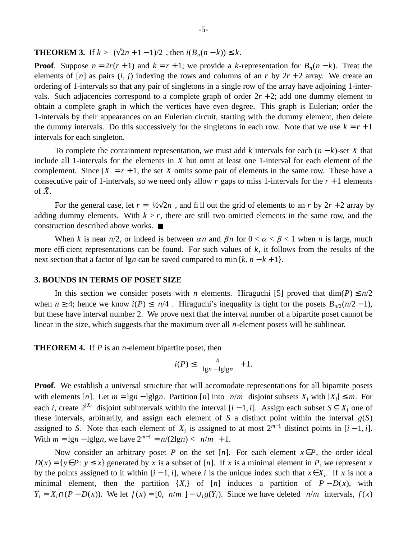**THEOREM 3.** If  $k > [(\sqrt{2}n + 1 - 1)/2]$ , then  $i(B_n(n - k)) \leq k$ .

**Proof**. Suppose  $n = 2r(r + 1)$  and  $k = r + 1$ ; we provide a *k*-representation for  $B_n(n - k)$ . Treat the elements of  $[n]$  as pairs  $(i, j)$  indexing the rows and columns of an *r* by  $2r + 2$  array. We create an ordering of 1-intervals so that any pair of singletons in a single row of the array have adjoining 1-intervals. Such adjacencies correspond to a complete graph of order  $2r + 2$ ; add one dummy element to obtain a complete graph in which the vertices have even degree. This graph is Eulerian; order the 1-intervals by their appearances on an Eulerian circuit, starting with the dummy element, then delete the dummy intervals. Do this successively for the singletons in each row. Note that we use  $k = r + 1$ intervals for each singleton.

To complete the containment representation, we must add *k* intervals for each (*n* − *k*)-set *X* that include all 1-intervals for the elements in *X* but omit at least one 1-interval for each element of the complement. Since  $|X| = r + 1$ , the set *X* omits some pair of elements in the same row. These have a consecutive pair of 1-intervals, so we need only allow  $r$  gaps to miss 1-intervals for the  $r + 1$  elements of  $\bar{X}$ .

For the general case, let  $r = \frac{1}{2} \sqrt{2n}$ , and fill out the grid of elements to an *r* by  $2r + 2$  array by adding dummy elements. With  $k > r$ , there are still two omitted elements in the same row, and the construction described above works. ■

When *k* is near  $n/2$ , or indeed is between  $\alpha n$  and  $\beta n$  for  $0 < \alpha < \beta < 1$  when *n* is large, much more efficient representations can be found. For such values of  $k$ , it follows from the results of the next section that a factor of lg*n* can be saved compared to min  $\{k, n - k + 1\}$ .

### **3. BOUNDS IN TERMS OF POSET SIZE**

In this section we consider posets with *n* elements. Hiraguchi [5] proved that  $\dim(P) \le n/2$ when *n* ≥ 4; hence we know *i*(*P*) ≤  $\lceil n/4 \rceil$ . Hiraguchi's inequality is tight for the posets  $B_{n/2}(n/2 - 1)$ , but these have interval number 2. We prove next that the interval number of a bipartite poset cannot be linear in the size, which suggests that the maximum over all *n*-element posets will be sublinear.

**THEOREM 4.** If *P* is an *n*-element bipartite poset, then

$$
i(P)\leq \left\lceil \frac{n}{\lg n -\lg\lg n}\right\rceil +1.
$$

**Proof.** We establish a universal structure that will accomodate representations for all bipartite posets with elements [*n*]. Let  $m = \lg n - \lg \lg n$ . Partition [*n*] into  $\lceil n/m \rceil$  disjoint subsets  $X_i$  with  $|X_i| \leq m$ . For each *i*, create  $2^{|X_i|}$  disjoint subintervals within the interval  $[i-1, i]$ . Assign each subset  $S \subseteq X_i$  one of these intervals, arbitrarily, and assign each element of  $S$  a distinct point within the interval  $g(S)$ assigned to *S*. Note that each element of  $X_i$  is assigned to at most  $2^{m-1}$  distinct points in  $[i-1, i]$ . With  $m = \lg n - \lg \lg n$ , we have  $2^{m-1} = n/(2\lg n) < \lceil n/m \rceil + 1$ .

Now consider an arbitrary poset *P* on the set [*n*]. For each element  $x \in P$ , the order ideal  $D(x) = \{y \in P: y \leq x\}$  generated by *x* is a subset of [*n*]. If *x* is a minimal element in *P*, we represent *x* by the points assigned to it within  $[i - 1, i]$ , where *i* is the unique index such that  $x \in X_i$ . If *x* is not a minimal element, then the partition  $\{X_i\}$  of [*n*] induces a partition of  $P - D(x)$ , with  $Y_i = X_i \cap (P - D(x))$ . We let  $f(x) = [0, ||n/m||] - \bigcup_i g(Y_i)$ . Since we have deleted  $||n/m||$  intervals,  $f(x)$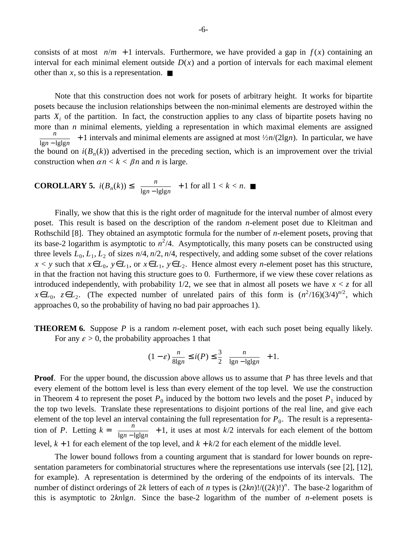consists of at most  $\lceil n/m \rceil + 1$  intervals. Furthermore, we have provided a gap in  $f(x)$  containing an interval for each minimal element outside  $D(x)$  and a portion of intervals for each maximal element other than *x*, so this is a representation.  $\blacksquare$ 

Note that this construction does not work for posets of arbitrary height. It works for bipartite posets because the inclusion relationships between the non-minimal elements are destroyed within the parts  $X_i$  of the partition. In fact, the construction applies to any class of bipartite posets having no more than *n* minimal elements, yielding a representation in which maximal elements are assigned  $\lceil \frac{n}{\lg n} \rceil$ *n*<sub>1gn</sub> − lglg<sub>n</sub></sub> + 1 intervals and minimal elements are assigned at most  $\frac{l}{2n}$ (2lgn). In particular, we have the bound on  $i(B_n(k))$  advertised in the preceding section, which is an improvement over the trivial construction when  $\alpha n < k < \beta n$  and *n* is large.

**COROLLARY 5.** 
$$
i(B_n(k)) \le \lceil \frac{n}{\lg n - \lg \lg n} \rceil + 1
$$
 for all  $1 < k < n$ .

Finally, we show that this is the right order of magnitude for the interval number of almost every poset. This result is based on the description of the random *n*-element poset due to Kleitman and Rothschild [8]. They obtained an asymptotic formula for the number of *n*-element posets, proving that its base-2 logarithm is asymptotic to  $n^2/4$ . Asymptotically, this many posets can be constructed using three levels  $L_0$ ,  $L_1$ ,  $L_2$  of sizes  $n/4$ ,  $n/2$ ,  $n/4$ , respectively, and adding some subset of the cover relations *x* < *y* such that *x*∈*L*<sub>0</sub>, *y*∈*L*<sub>1</sub>, or *x*∈*L*<sub>1</sub>, *y*∈*L*<sub>2</sub>. Hence almost every *n*-element poset has this structure, in that the fraction not having this structure goes to 0. Furthermore, if we view these cover relations as introduced independently, with probability  $1/2$ , we see that in almost all posets we have  $x < z$  for all  $x \in L_0$ ,  $z \in L_2$ . (The expected number of unrelated pairs of this form is  $(n^2/16)(3/4)^{n/2}$ , which approaches 0, so the probability of having no bad pair approaches 1).

**THEOREM 6.** Suppose *P* is a random *n*-element poset, with each such poset being equally likely. For any  $\varepsilon > 0$ , the probability approaches 1 that

$$
(1 - \varepsilon) \frac{n}{8\lg n} \le i(P) \le \frac{3}{2} \lceil \frac{n}{\lg n - \lg \lg n} \rceil + 1.
$$

**Proof.** For the upper bound, the discussion above allows us to assume that *P* has three levels and that every element of the bottom level is less than every element of the top level. We use the construction in Theorem 4 to represent the poset  $P_0$  induced by the bottom two levels and the poset  $P_1$  induced by the top two levels. Translate these representations to disjoint portions of the real line, and give each element of the top level an interval containing the full representation for  $P_0$ . The result is a representation of *P*. Letting  $k = \int_{0}^{\infty} \frac{n}{\ln n}$  $\frac{n}{\lg n - \lg \lg n}$  + 1, it uses at most *k*/2 intervals for each element of the bottom level,  $k + 1$  for each element of the top level, and  $k + k/2$  for each element of the middle level.

The lower bound follows from a counting argument that is standard for lower bounds on representation parameters for combinatorial structures where the representations use intervals (see [2], [12], for example). A representation is determined by the ordering of the endpoints of its intervals. The number of distinct orderings of 2*k* letters of each of *n* types is  $(2kn)!/((2k)!)^n$ . The base-2 logarithm of this is asymptotic to 2*kn*lg*n*. Since the base-2 logarithm of the number of *n*-element posets is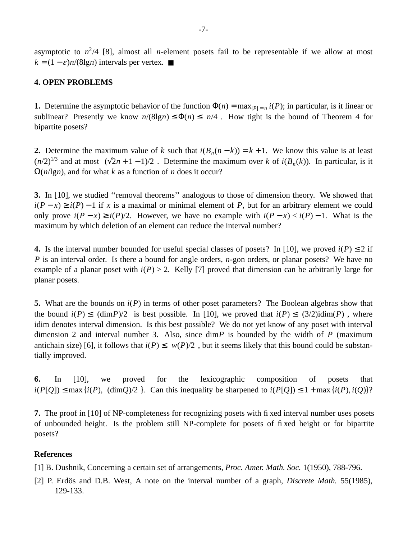asymptotic to  $n^2/4$  [8], almost all *n*-element posets fail to be representable if we allow at most  $k = (1 - \varepsilon)n/(8\lg n)$  intervals per vertex.  $\blacksquare$ 

## **4. OPEN PROBLEMS**

**1.** Determine the asymptotic behavior of the function  $\Phi(n) = \max_{|P|=n} i(P)$ ; in particular, is it linear or sublinear? Presently we know  $n/(8\lg n) \leq \Phi(n) \leq \lceil n/4 \rceil$ . How tight is the bound of Theorem 4 for bipartite posets?

**2.** Determine the maximum value of *k* such that  $i(B_n(n-k)) = k+1$ . We know this value is at least  $(n/2)^{1/3}$  and at most  $\lceil (\sqrt{2n+1}-1)/2 \rceil$ . Determine the maximum over *k* of  $i(B_n(k))$ . In particular, is it  $\Omega(n/\lg n)$ , and for what *k* as a function of *n* does it occur?

**3.** In [10], we studied ''removal theorems'' analogous to those of dimension theory. We showed that  $i(P - x) \ge i(P) - 1$  if *x* is a maximal or minimal element of *P*, but for an arbitrary element we could only prove  $i(P - x) \ge i(P)/2$ . However, we have no example with  $i(P - x) < i(P) - 1$ . What is the maximum by which deletion of an element can reduce the interval number?

**4.** Is the interval number bounded for useful special classes of posets? In [10], we proved  $i(P) \le 2$  if *P* is an interval order. Is there a bound for angle orders, *n*-gon orders, or planar posets? We have no example of a planar poset with  $i(P) > 2$ . Kelly [7] proved that dimension can be arbitrarily large for planar posets.

**5.** What are the bounds on *i*(*P*) in terms of other poset parameters? The Boolean algebras show that the bound  $i(P) \leq \lceil (\dim P)/2 \rceil$  is best possible. In [10], we proved that  $i(P) \leq \lceil (3/2) \cdot \text{dim}(P) \rceil$ , where idim denotes interval dimension. Is this best possible? We do not yet know of any poset with interval dimension 2 and interval number 3. Also, since dim*P* is bounded by the width of *P* (maximum antichain size) [6], it follows that  $i(P) \leq \lceil w(P)/2 \rceil$ , but it seems likely that this bound could be substantially improved.

**6.** In [10], we proved for the lexicographic composition of posets that  $i(P[Q]) \leq \max\{i(P), [(\dim Q)/2]\}.$  Can this inequality be sharpened to  $i(P[Q]) \leq 1 + \max\{i(P), i(Q)\}$ ?

**7.** The proof in [10] of NP-completeness for recognizing posets with fixed interval number uses posets of unbounded height. Is the problem still NP-complete for posets of fixed height or for bipartite posets?

### **References**

- [1] B. Dushnik, Concerning a certain set of arrangements, *Proc. Amer. Math. Soc.* 1(1950), 788-796.
- [2] P. Erdös and D.B. West, A note on the interval number of a graph, *Discrete Math.* 55(1985), 129-133.